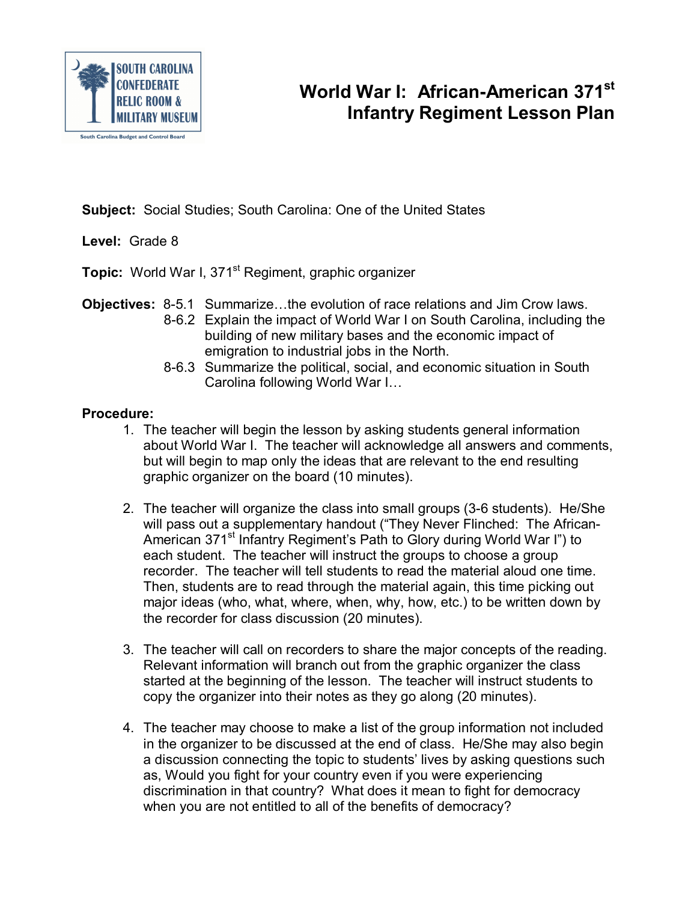

## **World War I: African-American 371<sup>st</sup> Infantry Regiment Lesson Plan**

**Subject:** Social Studies; South Carolina: One of the United States

## **Level:** Grade 8

**Topic:** World War I, 371<sup>st</sup> Regiment, graphic organizer

- **Objectives:** 8-5.1 Summarize...the evolution of race relations and Jim Crow laws.
	- 86.2 Explain the impact of World War I on South Carolina, including the building of new military bases and the economic impact of emigration to industrial jobs in the North.
	- 86.3 Summarize the political, social, and economic situation in South Carolina following World War I…

## **Procedure:**

- 1. The teacher will begin the lesson by asking students general information about World War I. The teacher will acknowledge all answers and comments, but will begin to map only the ideas that are relevant to the end resulting graphic organizer on the board (10 minutes).
- 2. The teacher will organize the class into small groups (36 students). He/She will pass out a supplementary handout ("They Never Flinched: The African-American 371<sup>st</sup> Infantry Regiment's Path to Glory during World War I") to each student. The teacher will instruct the groups to choose a group recorder. The teacher will tell students to read the material aloud one time. Then, students are to read through the material again, this time picking out major ideas (who, what, where, when, why, how, etc.) to be written down by the recorder for class discussion (20 minutes).
- 3. The teacher will call on recorders to share the major concepts of the reading. Relevant information will branch out from the graphic organizer the class started at the beginning of the lesson. The teacher will instruct students to copy the organizer into their notes as they go along (20 minutes).
- 4. The teacher may choose to make a list of the group information not included in the organizer to be discussed at the end of class. He/She may also begin a discussion connecting the topic to students' lives by asking questions such as, Would you fight for your country even if you were experiencing discrimination in that country? What does it mean to fight for democracy when you are not entitled to all of the benefits of democracy?